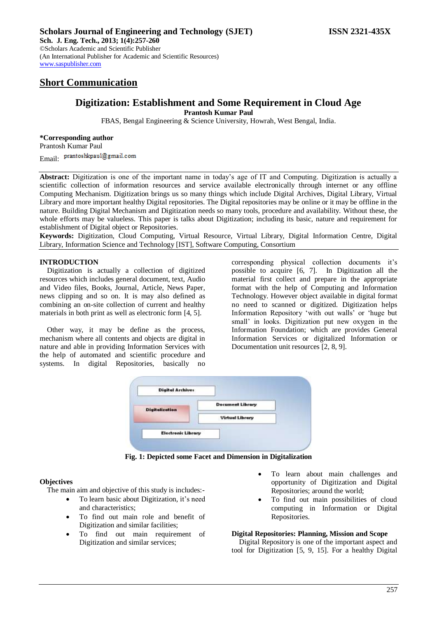# **Short Communication**

## **Digitization: Establishment and Some Requirement in Cloud Age Prantosh Kumar Paul**

FBAS, Bengal Engineering & Science University, Howrah, West Bengal, India.

## **\*Corresponding author**

Prantosh Kumar Paul Email: prantoshkpaul@gmail.com

**Abstract:** Digitization is one of the important name in today's age of IT and Computing. Digitization is actually a scientific collection of information resources and service available electronically through internet or any offline Computing Mechanism. Digitization brings us so many things which include Digital Archives, Digital Library, Virtual Library and more important healthy Digital repositories. The Digital repositories may be online or it may be offline in the nature. Building Digital Mechanism and Digitization needs so many tools, procedure and availability. Without these, the whole efforts may be valueless. This paper is talks about Digitization; including its basic, nature and requirement for establishment of Digital object or Repositories.

**Keywords:** Digitization, Cloud Computing, Virtual Resource, Virtual Library, Digital Information Centre, Digital Library, Information Science and Technology [IST], Software Computing, Consortium

## **INTRODUCTION**

Digitization is actually a collection of digitized resources which includes general document, text, Audio and Video files, Books, Journal, Article, News Paper, news clipping and so on. It is may also defined as combining an on-site collection of current and healthy materials in both print as well as electronic form [4, 5].

Other way, it may be define as the process, mechanism where all contents and objects are digital in nature and able in providing Information Services with the help of automated and scientific procedure and systems. In digital Repositories, basically no corresponding physical collection documents it's possible to acquire [6, 7]. In Digitization all the material first collect and prepare in the appropriate format with the help of Computing and Information Technology. However object available in digital format no need to scanned or digitized. Digitization helps Information Repository 'with out walls' or 'huge but small' in looks. Digitization put new oxygen in the Information Foundation; which are provides General Information Services or digitalized Information or Documentation unit resources [2, 8, 9].

| <b>Digital Archives</b>   |                         |
|---------------------------|-------------------------|
| <b>Digitalization</b>     | <b>Document Library</b> |
|                           | <b>Virtual Library</b>  |
| <b>Electronic Library</b> |                         |

**Fig. 1: Depicted some Facet and Dimension in Digitalization**

## **Objectives**

The main aim and objective of this study is includes:-

- To learn basic about Digitization, it's need and characteristics;
- To find out main role and benefit of Digitization and similar facilities;
- To find out main requirement of Digitization and similar services;
- To learn about main challenges and opportunity of Digitization and Digital Repositories; around the world;
- To find out main possibilities of cloud computing in Information or Digital Repositories.

## **Digital Repositories: Planning, Mission and Scope**

Digital Repository is one of the important aspect and tool for Digitization [5, 9, 15]. For a healthy Digital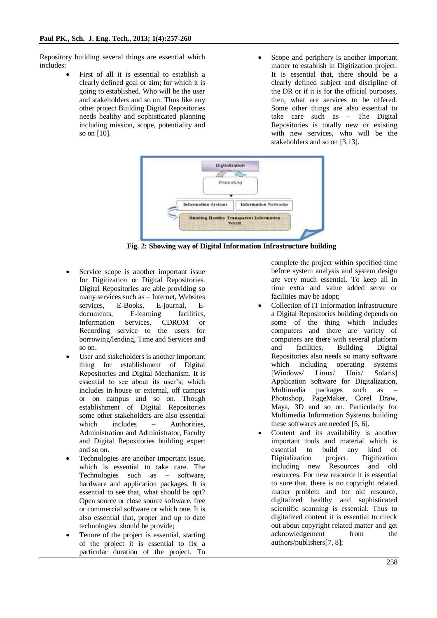Repository building several things are essential which includes:

- First of all it is essential to establish a clearly defined goal or aim; for which it is going to established. Who will be the user and stakeholders and so on. Thus like any other project Building Digital Repositories needs healthy and sophisticated planning including mission, scope, potentiality and so on [10].
- Scope and periphery is another important matter to establish in Digitization project. It is essential that, there should be a clearly defined subject and discipline of the DR or if it is for the official purposes, then, what are services to be offered. Some other things are also essential to take care such as – The Digital Repositories is totally new or existing with new services, who will be the stakeholders and so on [3,13].



**Fig. 2: Showing way of Digital Information Infrastructure building**

- Service scope is another important issue for Digitization or Digital Repositories. Digital Repositories are able providing so many services such as – Internet, Websites services, E-Books, E-journal, Edocuments, E-learning facilities, Information Services, CDROM or Recording service to the users for borrowing/lending, Time and Services and so on.
- User and stakeholders is another important thing for establishment of Digital Repositories and Digital Mechanism. It is essential to see about its user's; which includes in-house or external, off campus or on campus and so on. Though establishment of Digital Repositories some other stakeholders are also essential which includes – Authorities, Administration and Administrator, Faculty and Digital Repositories building expert and so on.
- Technologies are another important issue, which is essential to take care. The Technologies such as – software, hardware and application packages. It is essential to see that, what should be opt? Open source or close source software, free or commercial software or which one. It is also essential that, proper and up to date technologies should be provide;
- Tenure of the project is essential, starting of the project it is essential to fix a particular duration of the project. To

complete the project within specified time before system analysis and system design are very much essential. To keep all in time extra and value added serve or facilities may be adopt;

- Collection of IT Information infrastructure a Digital Repositories building depends on some of the thing which includes computers and there are variety of computers are there with several platform and facilities, Building Digital Repositories also needs so many software which including operating systems [Windows/ Linux/ Unix/ Solaris] Application software for Digitalization, Multimedia packages such as – Photoshop, PageMaker, Corel Draw, Maya, 3D and so on. Particularly for Multimedia Information Systems building these softwares are needed [5, 6].
- Content and its availability is another important tools and material which is essential to build any kind of Digitalization project. Digitization including new Resources and old resources. For new resource it is essential to sure that, there is no copyright related matter problem and for old resource, digitalized healthy and sophisticated scientific scanning is essential. Thus to digitalized content it is essential to check out about copyright related matter and get acknowledgement from the authors/publishers[7, 8];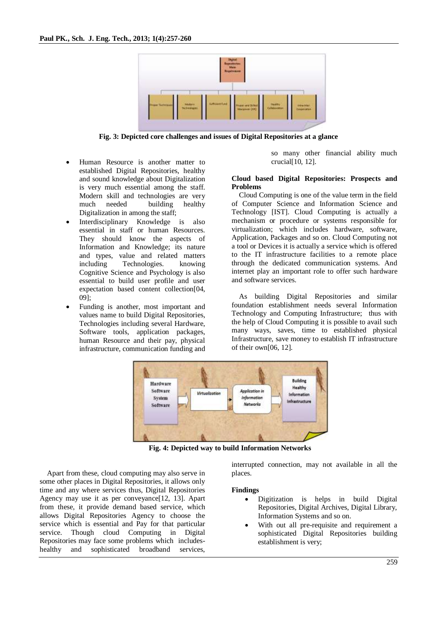

**Fig. 3: Depicted core challenges and issues of Digital Repositories at a glance**

- Human Resource is another matter to established Digital Repositories, healthy and sound knowledge about Digitalization is very much essential among the staff. Modern skill and technologies are very much needed building healthy Digitalization in among the staff;
- Interdisciplinary Knowledge is also essential in staff or human Resources. They should know the aspects of Information and Knowledge; its nature and types, value and related matters including Technologies. knowing Cognitive Science and Psychology is also essential to build user profile and user expectation based content collection[04, 09];
- Funding is another, most important and values name to build Digital Repositories, Technologies including several Hardware, Software tools, application packages, human Resource and their pay, physical infrastructure, communication funding and

so many other financial ability much crucial[10, 12].

#### **Cloud based Digital Repositories: Prospects and Problems**

Cloud Computing is one of the value term in the field of Computer Science and Information Science and Technology [IST]. Cloud Computing is actually a mechanism or procedure or systems responsible for virtualization; which includes hardware, software, Application, Packages and so on. Cloud Computing not a tool or Devices it is actually a service which is offered to the IT infrastructure facilities to a remote place through the dedicated communication systems. And internet play an important role to offer such hardware and software services.

As building Digital Repositories and similar foundation establishment needs several Information Technology and Computing Infrastructure; thus with the help of Cloud Computing it is possible to avail such many ways, saves, time to established physical Infrastructure, save money to establish IT infrastructure of their own  $[06, 12]$ .



**Fig. 4: Depicted way to build Information Networks**

Apart from these, cloud computing may also serve in some other places in Digital Repositories, it allows only time and any where services thus, Digital Repositories Agency may use it as per conveyance[12, 13]. Apart from these, it provide demand based service, which allows Digital Repositories Agency to choose the service which is essential and Pay for that particular service. Though cloud Computing in Digital Repositories may face some problems which includeshealthy and sophisticated broadband services,

interrupted connection, may not available in all the places.

#### **Findings**

- Digitization is helps in build Digital Repositories, Digital Archives, Digital Library, Information Systems and so on.
- With out all pre-requisite and requirement a sophisticated Digital Repositories building establishment is very;